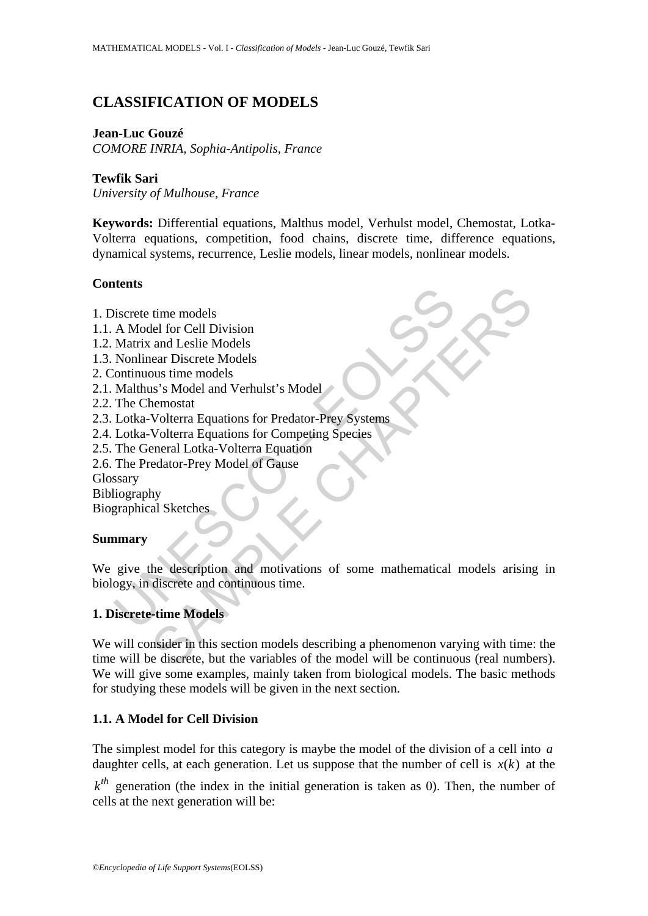# **CLASSIFICATION OF MODELS**

## **Jean-Luc Gouzé**

*COMORE INRIA, Sophia-Antipolis, France* 

### **Tewfik Sari**

*University of Mulhouse, France* 

**Keywords:** Differential equations, Malthus model, Verhulst model, Chemostat, Lotka-Volterra equations, competition, food chains, discrete time, difference equations, dynamical systems, recurrence, Leslie models, linear models, nonlinear models.

### **Contents**

- 1. Discrete time models
- 1.1. A Model for Cell Division
- 1.2. Matrix and Leslie Models
- 1.3. Nonlinear Discrete Models
- 2. Continuous time models
- 2.1. Malthus's Model and Verhulst's Model
- 2.2. The Chemostat
- 2.3. Lotka-Volterra Equations for Predator-Prey Systems
- 2.4. Lotka-Volterra Equations for Competing Species
- 2.5. The General Lotka-Volterra Equation
- 2.6. The Predator-Prey Model of Gause

Glossary

Bibliography

Biographical Sketches

# **Summary**

The models and Model for Cell Division<br>
A Model for Cell Division<br>
Matrix and Leslie Models<br>
Nonlinear Discrete Models<br>
Malthus's Model and Verhulst's Model<br>
The Chemostat<br>
Lotka-Volterra Equations for Competing Species<br>
T We give the description and motivations of some mathematical models arising in biology, in discrete and continuous time.

# **1. Discrete-time Models**

time models<br>
tel for Cell Division<br>
and Leslie Models<br>
ear Discrete Models<br>
sus time models<br>
sus time models<br>
Sus time models<br>
Nolterra Equations for Predator-Prey Systems<br>
Volterra Equations for Competing Species<br>
Norther We will consider in this section models describing a phenomenon varying with time: the time will be discrete, but the variables of the model will be continuous (real numbers). We will give some examples, mainly taken from biological models. The basic methods for studying these models will be given in the next section.

# **1.1. A Model for Cell Division**

The simplest model for this category is maybe the model of the division of a cell into *a* daughter cells, at each generation. Let us suppose that the number of cell is  $x(k)$  at the

 $k<sup>th</sup>$  generation (the index in the initial generation is taken as 0). Then, the number of cells at the next generation will be: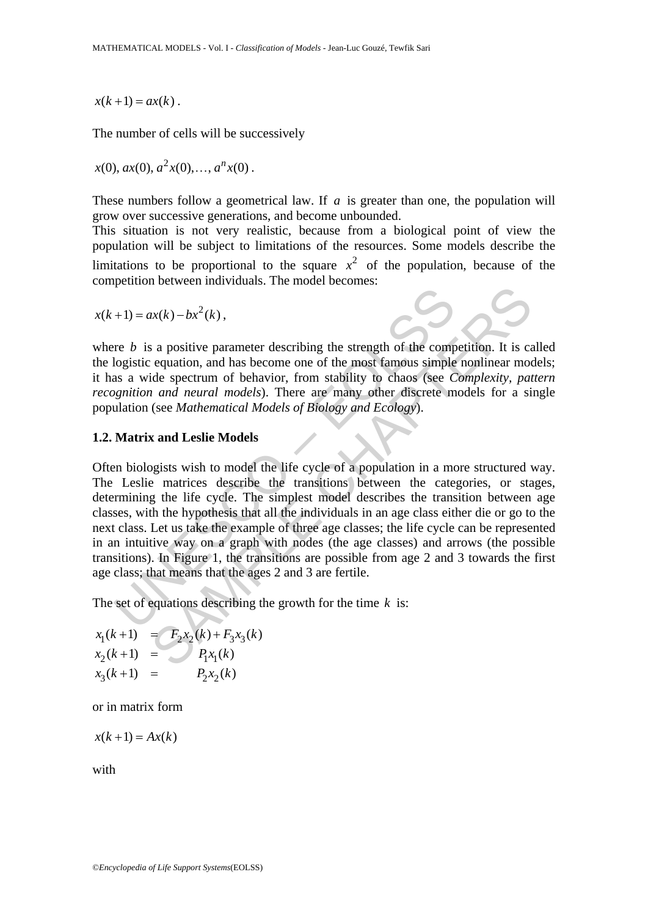$x(k+1) = ax(k)$ .

The number of cells will be successively

$$
x(0), ax(0), a2x(0),..., anx(0)
$$
.

These numbers follow a geometrical law. If *a* is greater than one, the population will grow over successive generations, and become unbounded.

This situation is not very realistic, because from a biological point of view the population will be subject to limitations of the resources. Some models describe the limitations to be proportional to the square  $x^2$  of the population, because of the competition between individuals. The model becomes:

$$
x(k+1) = ax(k) - bx2(k),
$$

where *b* is a positive parameter describing the strength of the competition. It is called the logistic equation, and has become one of the most famous simple nonlinear models; it has a wide spectrum of behavior, from stability to chaos (see *Complexity, pattern recognition and neural models*). There are many other discrete models for a single population (see *Mathematical Models of Biology and Ecology*).

#### **1.2. Matrix and Leslie Models**

 $(1 + 1) = ax(k) - bx^2(k)$ ,<br>  $x = bx^2(k)$ ,<br>  $x = bx^2(k)$ ,<br>  $x = bx^2(k)$ ,  $x = bx^2(k)$ ,  $x = bx^2(k)$ ,  $x = bx^2(k)$ ,  $x = bx^2(k)$ ,  $x = bx^2(k)$ ,  $x = bx^2(k)$ ,  $x = bx^2(k)$ ,  $x = bx^2(k)$ ,  $x = bx^2(k)$ ,  $x = bx^2(k)$ ,  $x = bx^2(k)$ ,  $x = bx^2(k)$ ,  $x = bx^2(k)$ ,  $x = bx^2(k)$ ,  $x = bx^2(k)$ ,  $ax(k) - bx^2(k)$ ,<br>
s a positive parameter describing the strength of the competition. It is calcution, and has become one of the most famous simple nonlinear move<br>
equation, and has become one of the most famous simple nonline Often biologists wish to model the life cycle of a population in a more structured way. The Leslie matrices describe the transitions between the categories, or stages, determining the life cycle. The simplest model describes the transition between age classes, with the hypothesis that all the individuals in an age class either die or go to the next class. Let us take the example of three age classes; the life cycle can be represented in an intuitive way on a graph with nodes (the age classes) and arrows (the possible transitions). In Figure 1, the transitions are possible from age 2 and 3 towards the first age class; that means that the ages 2 and 3 are fertile.

The set of equations describing the growth for the time *k* is:

$$
x_1(k+1) = F_2x_2(k) + F_3x_3(k)
$$
  
\n
$$
x_2(k+1) = P_1x_1(k)
$$
  
\n
$$
x_3(k+1) = P_2x_2(k)
$$

or in matrix form

 $x(k+1) = Ax(k)$ 

with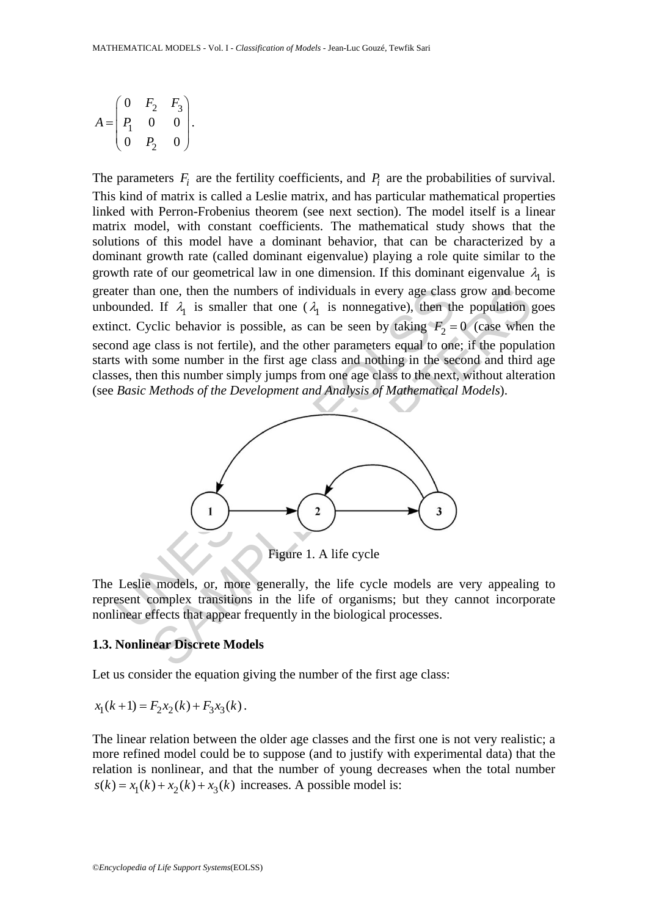$$
A = \begin{pmatrix} 0 & F_2 & F_3 \\ P_1 & 0 & 0 \\ 0 & P_2 & 0 \end{pmatrix}.
$$

The parameters  $F_i$  are the fertility coefficients, and  $P_i$  are the probabilities of survival. This kind of matrix is called a Leslie matrix, and has particular mathematical properties linked with Perron-Frobenius theorem (see next section). The model itself is a linear matrix model, with constant coefficients. The mathematical study shows that the solutions of this model have a dominant behavior, that can be characterized by a dominant growth rate (called dominant eigenvalue) playing a role quite similar to the growth rate of our geometrical law in one dimension. If this dominant eigenvalue  $\lambda_1$  is greater than one, then the numbers of individuals in every age class grow and become unbounded. If  $\lambda_1$  is smaller that one ( $\lambda_1$  is nonnegative), then the population goes extinct. Cyclic behavior is possible, as can be seen by taking  $F_2 = 0$  (case when the second age class is not fertile), and the other parameters equal to one; if the population starts with some number in the first age class and nothing in the second and third age classes, then this number simply jumps from one age class to the next, without alteration (see *Basic Methods of the Development and Analysis of Mathematical Models*).



The Leslie models, or, more generally, the life cycle models are very appealing to represent complex transitions in the life of organisms; but they cannot incorporate nonlinear effects that appear frequently in the biological processes.

#### **1.3. Nonlinear Discrete Models**

Let us consider the equation giving the number of the first age class:

$$
x_1(k+1) = F_2 x_2(k) + F_3 x_3(k).
$$

The linear relation between the older age classes and the first one is not very realistic; a more refined model could be to suppose (and to justify with experimental data) that the relation is nonlinear, and that the number of young decreases when the total number  $s(k) = x_1(k) + x_2(k) + x_3(k)$  increases. A possible model is: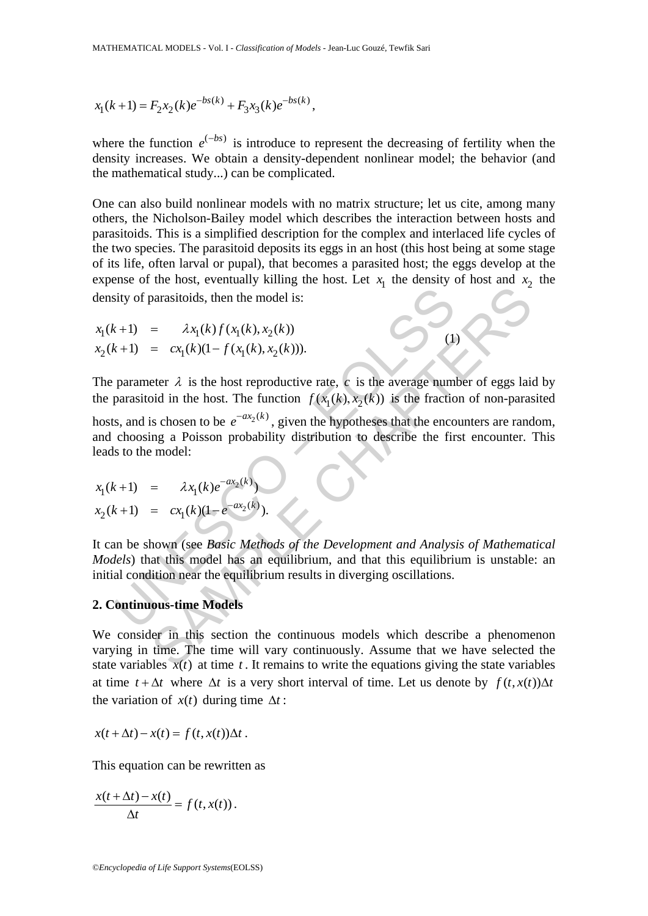$$
x_1(k+1) = F_2 x_2(k)e^{-bs(k)} + F_3 x_3(k)e^{-bs(k)},
$$

where the function  $e^{(-bs)}$  is introduce to represent the decreasing of fertility when the density increases. We obtain a density-dependent nonlinear model; the behavior (and the mathematical study...) can be complicated.

One can also build nonlinear models with no matrix structure; let us cite, among many others, the Nicholson-Bailey model which describes the interaction between hosts and parasitoids. This is a simplified description for the complex and interlaced life cycles of the two species. The parasitoid deposits its eggs in an host (this host being at some stage of its life, often larval or pupal), that becomes a parasited host; the eggs develop at the expense of the host, eventually killing the host. Let  $x_1$  the density of host and  $x_2$  the density of parasitoids, then the model is:

$$
x_1(k+1) = \lambda x_1(k) f(x_1(k), x_2(k))
$$
  

$$
x_2(k+1) = cx_1(k)(1-f(x_1(k), x_2(k))).
$$

The parameter  $\lambda$  is the host reproductive rate,  $c$  is the average number of eggs laid by the parasitoid in the host. The function  $f(x_1(k), x_2(k))$  is the fraction of non-parasited

 $(1)$ 

sity of parasitoids, then the model is:<br>  $(k+1) = \lambda x_1(k) f(x_1(k), x_2(k))$ <br>  $(k+1) = cx_1(k)(1 - f(x_1(k), x_2(k)))$ .<br>
parameter  $\lambda$  is the host reproductive rate,  $c$  is the average num<br>
parasitoid in the host. The function  $f(x_1(k), x_2(k))$  is t parasitoids, then the model is:<br>  $= \lambda x_1(k) f(x_1(k), x_2(k))$ <br>  $= cx_1(k)(1 - f(x_1(k), x_2(k)))$ .<br>
teter  $\lambda$  is the host reproductive rate,  $c$  is the average number of eggs lai<br>
ioid in the host. The function  $f(x_1(k), x_2(k))$  is the fraction hosts, and is chosen to be  $e^{-ax_2(k)}$ , given the hypotheses that the encounters are random, and choosing a Poisson probability distribution to describe the first encounter. This leads to the model:

$$
x_1(k+1) = \lambda x_1(k)e^{-ax_2(k)}
$$
  

$$
x_2(k+1) = cx_1(k)(1-e^{-ax_2(k)}).
$$

It can be shown (see *Basic Methods of the Development and Analysis of Mathematical Models*) that this model has an equilibrium, and that this equilibrium is unstable: an initial condition near the equilibrium results in diverging oscillations.

### **2. Continuous-time Models**

We consider in this section the continuous models which describe a phenomenon varying in time. The time will vary continuously. Assume that we have selected the state variables  $x(t)$  at time *t*. It remains to write the equations giving the state variables at time  $t + \Delta t$  where  $\Delta t$  is a very short interval of time. Let us denote by  $f(t, x(t))\Delta t$ the variation of  $x(t)$  during time  $\Delta t$ :

$$
x(t + \Delta t) - x(t) = f(t, x(t))\Delta t.
$$

This equation can be rewritten as

$$
\frac{x(t+\Delta t)-x(t)}{\Delta t}=f(t,x(t)).
$$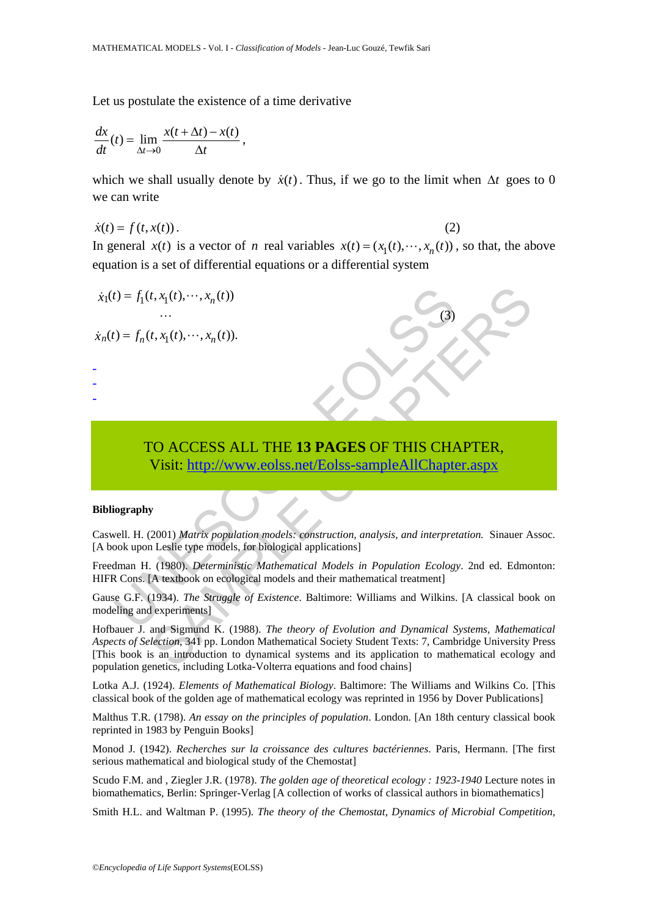Let us postulate the existence of a time derivative

$$
\frac{dx}{dt}(t) = \lim_{\Delta t \to 0} \frac{x(t + \Delta t) - x(t)}{\Delta t},
$$

which we shall usually denote by  $\dot{x}(t)$ . Thus, if we go to the limit when  $\Delta t$  goes to 0 we can write

$$
\dot{x}(t) = f(t, x(t)).\tag{2}
$$

In general  $x(t)$  is a vector of *n* real variables  $x(t) = (x_1(t), \dots, x_n(t))$ , so that, the above equation is a set of differential equations or a differential system

$$
\dot{x}_1(t) = f_1(t, x_1(t), \cdots, x_n(t))
$$
  
...  

$$
\dot{x}_n(t) = f_n(t, x_1(t), \cdots, x_n(t)).
$$
 (3)

t) =  $f_1(t, x_1(t), \dots, x_n(t))$ <br>
...<br>  $f_2(t, x_1(t), \dots, x_n(t))$ .<br>
TO ACCESS ALL THE 13 PAGES OF THIS CHA<br>
Visit: http://www.eolss.net/Eolss-sampleAllChapte<br>
ography<br>
well. H. (2001) Matrix population models: construction, analysis, an TO ACCESS ALL THE **13 PAGES** OF THIS CHAPTER, Visit: http://www.eolss.net/Eolss-sampleAllChapter.aspx

#### **Bibliography**

- - -

Caswell. H. (2001) *Matrix population models: construction, analysis, and interpretation.* Sinauer Assoc. [A book upon Leslie type models, for biological applications]

Freedman H. (1980). *Deterministic Mathematical Models in Population Ecology*. 2nd ed. Edmonton: HIFR Cons. [A textbook on ecological models and their mathematical treatment]

Gause G.F. (1934). *The Struggle of Existence*. Baltimore: Williams and Wilkins. [A classical book on modeling and experiments]

*t*,  $x_1(t), \dots, x_n(t)$ <br>  $\therefore$ <br>  $x_1(t), \dots, x_n(t)$ .<br>  $\therefore$ <br>  $x_1(t), \dots, x_n(t)$ .<br>  $\therefore$ <br>
SO ACCESS ALL THE 13 PAGES OF THIS [CH](https://www.eolss.net/ebooklib/sc_cart.aspx?File=E6-03B-01-00)APTER,<br>  $\overline{X}$  Visit:  $\frac{htt}{htt}$ ;//www.eolss.net/Eolss-sampleAllChapter.aspx<br>  $\overline{X}$ <br>  $\overline{X}$  (1980). Hofbauer J. and Sigmund K. (1988). *The theory of Evolution and Dynamical Systems, Mathematical Aspects of Selection*, 341 pp. London Mathematical Society Student Texts: 7, Cambridge University Press [This book is an introduction to dynamical systems and its application to mathematical ecology and population genetics, including Lotka-Volterra equations and food chains]

Lotka A.J. (1924). *Elements of Mathematical Biology*. Baltimore: The Williams and Wilkins Co. [This classical book of the golden age of mathematical ecology was reprinted in 1956 by Dover Publications]

Malthus T.R. (1798). *An essay on the principles of population*. London. [An 18th century classical book reprinted in 1983 by Penguin Books]

Monod J. (1942). *Recherches sur la croissance des cultures bactériennes*. Paris, Hermann. [The first serious mathematical and biological study of the Chemostat]

Scudo F.M. and , Ziegler J.R. (1978). *The golden age of theoretical ecology : 1923-1940* Lecture notes in biomathematics, Berlin: Springer-Verlag [A collection of works of classical authors in biomathematics]

Smith H.L. and Waltman P. (1995). *The theory of the Chemostat, Dynamics of Microbial Competition*,